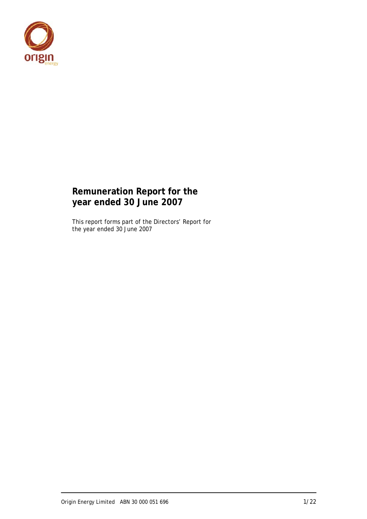

## **Remuneration Report for the year ended 30 June 2007**

This report forms part of the Directors' Report for the year ended 30 June 2007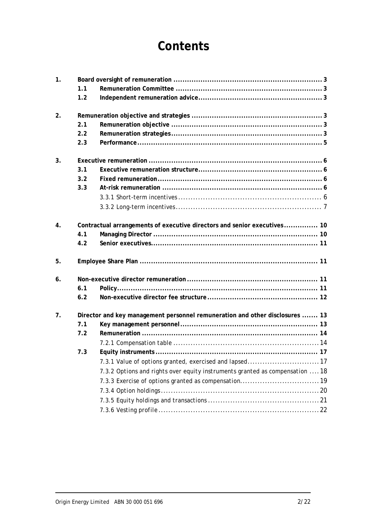# **Contents**

| 1. |     |                                                                              |  |  |  |  |  |  |  |  |
|----|-----|------------------------------------------------------------------------------|--|--|--|--|--|--|--|--|
|    | 1.1 |                                                                              |  |  |  |  |  |  |  |  |
|    | 1.2 |                                                                              |  |  |  |  |  |  |  |  |
| 2. |     |                                                                              |  |  |  |  |  |  |  |  |
|    | 2.1 |                                                                              |  |  |  |  |  |  |  |  |
|    | 2.2 |                                                                              |  |  |  |  |  |  |  |  |
|    | 2.3 |                                                                              |  |  |  |  |  |  |  |  |
| 3. |     |                                                                              |  |  |  |  |  |  |  |  |
|    | 3.1 |                                                                              |  |  |  |  |  |  |  |  |
|    | 3.2 |                                                                              |  |  |  |  |  |  |  |  |
|    | 3.3 |                                                                              |  |  |  |  |  |  |  |  |
|    |     |                                                                              |  |  |  |  |  |  |  |  |
|    |     |                                                                              |  |  |  |  |  |  |  |  |
| 4. |     | Contractual arrangements of executive directors and senior executives 10     |  |  |  |  |  |  |  |  |
|    | 4.1 |                                                                              |  |  |  |  |  |  |  |  |
|    | 4.2 |                                                                              |  |  |  |  |  |  |  |  |
| 5. |     |                                                                              |  |  |  |  |  |  |  |  |
| 6. |     |                                                                              |  |  |  |  |  |  |  |  |
|    | 6.1 |                                                                              |  |  |  |  |  |  |  |  |
|    | 6.2 |                                                                              |  |  |  |  |  |  |  |  |
| 7. |     | Director and key management personnel remuneration and other disclosures  13 |  |  |  |  |  |  |  |  |
|    | 7.1 |                                                                              |  |  |  |  |  |  |  |  |
|    | 7.2 |                                                                              |  |  |  |  |  |  |  |  |
|    |     |                                                                              |  |  |  |  |  |  |  |  |
|    | 7.3 |                                                                              |  |  |  |  |  |  |  |  |
|    |     | 7.3.1 Value of options granted, exercised and lapsed 17                      |  |  |  |  |  |  |  |  |
|    |     | 7.3.2 Options and rights over equity instruments granted as compensation  18 |  |  |  |  |  |  |  |  |
|    |     |                                                                              |  |  |  |  |  |  |  |  |
|    |     |                                                                              |  |  |  |  |  |  |  |  |
|    |     |                                                                              |  |  |  |  |  |  |  |  |
|    |     |                                                                              |  |  |  |  |  |  |  |  |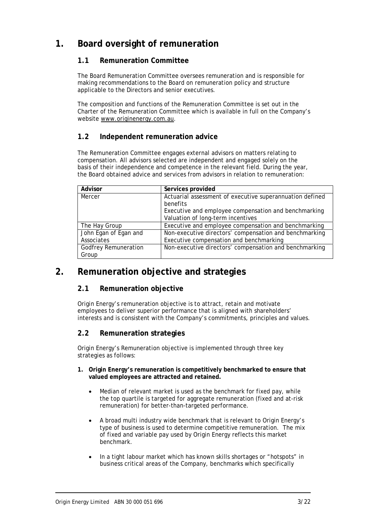## **1. Board oversight of remuneration**

## **1.1 Remuneration Committee**

The Board Remuneration Committee oversees remuneration and is responsible for making recommendations to the Board on remuneration policy and structure applicable to the Directors and senior executives.

The composition and functions of the Remuneration Committee is set out in the Charter of the Remuneration Committee which is available in full on the Company's website www.originenergy.com.au.

## **1.2 Independent remuneration advice**

The Remuneration Committee engages external advisors on matters relating to compensation. All advisors selected are independent and engaged solely on the basis of their independence and competence in the relevant field. During the year, the Board obtained advice and services from advisors in relation to remuneration:

| Advisor                     | Services provided                                        |
|-----------------------------|----------------------------------------------------------|
| Mercer                      | Actuarial assessment of executive superannuation defined |
|                             | benefits                                                 |
|                             | Executive and employee compensation and benchmarking     |
|                             | Valuation of long-term incentives                        |
| The Hay Group               | Executive and employee compensation and benchmarking     |
| John Egan of Egan and       | Non-executive directors' compensation and benchmarking   |
| Associates                  | Executive compensation and benchmarking                  |
| <b>Godfrey Remuneration</b> | Non-executive directors' compensation and benchmarking   |
| Group                       |                                                          |

## **2. Remuneration objective and strategies**

## **2.1 Remuneration objective**

Origin Energy's remuneration objective is to attract, retain and motivate employees to deliver superior performance that is aligned with shareholders' interests and is consistent with the Company's commitments, principles and values.

## **2.2 Remuneration strategies**

Origin Energy's Remuneration objective is implemented through three key strategies as follows:

- **1. Origin Energy's remuneration is competitively benchmarked to ensure that valued employees are attracted and retained.** 
	- Median of relevant market is used as the benchmark for fixed pay, while the top quartile is targeted for aggregate remuneration (fixed and at-risk remuneration) for better-than-targeted performance.
	- A broad multi industry wide benchmark that is relevant to Origin Energy's type of business is used to determine competitive remuneration. The mix of fixed and variable pay used by Origin Energy reflects this market benchmark.
	- In a tight labour market which has known skills shortages or "hotspots" in business critical areas of the Company, benchmarks which specifically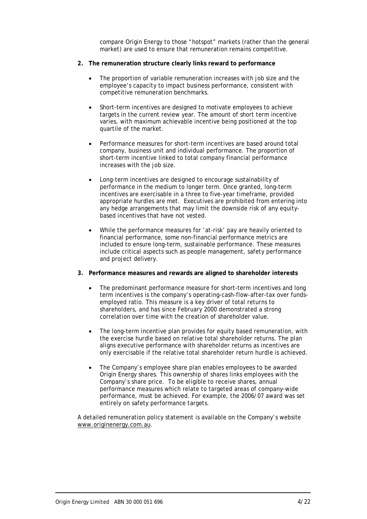compare Origin Energy to those "hotspot" markets (rather than the general market) are used to ensure that remuneration remains competitive.

- **2. The remuneration structure clearly links reward to performance** 
	- The proportion of variable remuneration increases with job size and the employee's capacity to impact business performance, consistent with competitive remuneration benchmarks.
	- Short-term incentives are designed to motivate employees to achieve targets in the current review year. The amount of short term incentive varies, with maximum achievable incentive being positioned at the top quartile of the market.
	- Performance measures for short-term incentives are based around total company, business unit and individual performance. The proportion of short-term incentive linked to total company financial performance increases with the job size.
	- Long-term incentives are designed to encourage sustainability of performance in the medium to longer term. Once granted, long-term incentives are exercisable in a three to five-year timeframe, provided appropriate hurdles are met. Executives are prohibited from entering into any hedge arrangements that may limit the downside risk of any equitybased incentives that have not vested.
	- While the performance measures for 'at-risk' pay are heavily oriented to financial performance, some non-financial performance metrics are included to ensure long-term, sustainable performance. These measures include critical aspects such as people management, safety performance and project delivery.
- **3. Performance measures and rewards are aligned to shareholder interests** 
	- The predominant performance measure for short-term incentives and long term incentives is the company's operating-cash-flow-after-tax over fundsemployed ratio. This measure is a key driver of total returns to shareholders, and has since February 2000 demonstrated a strong correlation over time with the creation of shareholder value.
	- The long-term incentive plan provides for equity based remuneration, with the exercise hurdle based on relative total shareholder returns. The plan aligns executive performance with shareholder returns as incentives are only exercisable if the relative total shareholder return hurdle is achieved.
	- The Company's employee share plan enables employees to be awarded Origin Energy shares. This ownership of shares links employees with the Company's share price. To be eligible to receive shares, annual performance measures which relate to targeted areas of company-wide performance, must be achieved. For example, the 2006/07 award was set entirely on safety performance targets.

A detailed remuneration policy statement is available on the Company's website www.originenergy.com.au.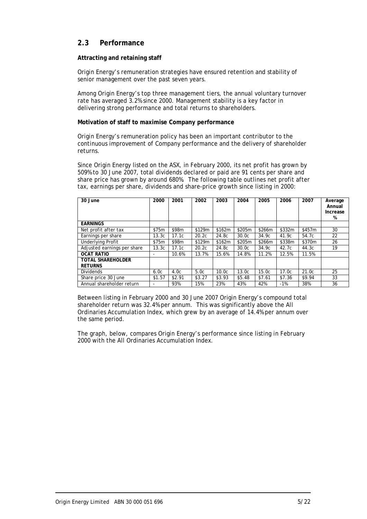### **2.3 Performance**

#### **Attracting and retaining staff**

Origin Energy's remuneration strategies have ensured retention and stability of senior management over the past seven years.

Among Origin Energy's top three management tiers, the annual voluntary turnover rate has averaged 3.2% since 2000. Management stability is a key factor in delivering strong performance and total returns to shareholders.

#### **Motivation of staff to maximise Company performance**

Origin Energy's remuneration policy has been an important contributor to the continuous improvement of Company performance and the delivery of shareholder returns.

Since Origin Energy listed on the ASX, in February 2000, its net profit has grown by 509% to 30 June 2007, total dividends declared or paid are 91 cents per share and share price has grown by around 680%. The following table outlines net profit after tax, earnings per share, dividends and share-price growth since listing in 2000:

| 30 June                                    | 2000                     | 2001   | 2002   | 2003   | 2004              | 2005   | 2006   | 2007              | Average<br>Annual<br>Increase<br>% |
|--------------------------------------------|--------------------------|--------|--------|--------|-------------------|--------|--------|-------------------|------------------------------------|
| <b>EARNINGS</b>                            |                          |        |        |        |                   |        |        |                   |                                    |
| Net profit after tax                       | \$75m                    | \$98m  | \$129m | \$162m | \$205m            | \$266m | \$332m | \$457m            | 30                                 |
| Earnings per share                         | 13.3c                    | 17.1c  | 20.2c  | 24.8c  | 30.0c             | 34.9c  | 41.9c  | 54.7c             | 22                                 |
| <b>Underlying Profit</b>                   | \$75m                    | \$98m  | \$129m | \$162m | \$205m            | \$266m | \$338m | \$370m            | 26                                 |
| Adjusted earnings per share                | 13.3c                    | 17.1c  | 20.2c  | 24.8c  | 30.0 <sub>c</sub> | 34.9c  | 42.7c  | 44.3c             | 19                                 |
| <b>OCAT RATIO</b>                          |                          | 10.6%  | 13.7%  | 15.6%  | 14.8%             | 11.2%  | 12.5%  | 11.5%             |                                    |
| <b>TOTAL SHAREHOLDER</b><br><b>RETURNS</b> |                          |        |        |        |                   |        |        |                   |                                    |
| <b>Dividends</b>                           | 6.0c                     | 4.0c   | 5.0c   | 10.0c  | 13.0c             | 15.0c  | 17.0c  | 21.0 <sub>c</sub> | 25                                 |
| Share price 30 June                        | \$1.57                   | \$2.91 | \$3.27 | \$3.93 | \$5.48            | \$7.61 | \$7.36 | \$9.94            | 33                                 |
| Annual shareholder return                  | $\overline{\phantom{0}}$ | 93%    | 15%    | 23%    | 43%               | 42%    | $-1\%$ | 38%               | 36                                 |

Between listing in February 2000 and 30 June 2007 Origin Energy's compound total shareholder return was 32.4% per annum. This was significantly above the All Ordinaries Accumulation Index, which grew by an average of 14.4% per annum over the same period.

The graph, below, compares Origin Energy's performance since listing in February 2000 with the All Ordinaries Accumulation Index.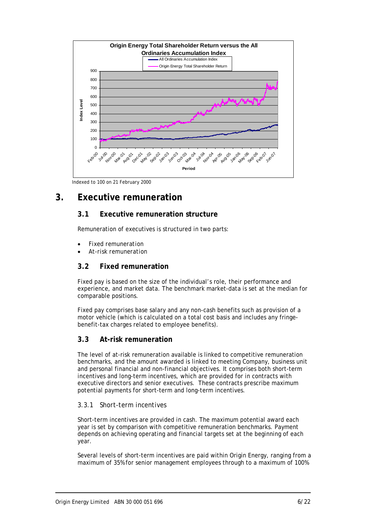

Indexed to 100 on 21 February 2000

## **3. Executive remuneration**

### **3.1 Executive remuneration structure**

Remuneration of executives is structured in two parts:

- *Fixed remuneration*
- *At-risk remuneration*

#### **3.2 Fixed remuneration**

Fixed pay is based on the size of the individual's role, their performance and experience, and market data. The benchmark market-data is set at the median for comparable positions.

Fixed pay comprises base salary and any non-cash benefits such as provision of a motor vehicle (which is calculated on a total cost basis and includes any fringebenefit-tax charges related to employee benefits).

#### **3.3 At-risk remuneration**

The level of at-risk remuneration available is linked to competitive remuneration benchmarks, and the amount awarded is linked to meeting Company, business unit and personal financial and non-financial objectives. It comprises both short-term incentives and long-term incentives, which are provided for in contracts with executive directors and senior executives. These contracts prescribe maximum potential payments for short-term and long-term incentives.

#### *3.3.1 Short-term incentives*

Short-term incentives are provided in cash. The maximum potential award each year is set by comparison with competitive remuneration benchmarks. Payment depends on achieving operating and financial targets set at the beginning of each year.

Several levels of short-term incentives are paid within Origin Energy, ranging from a maximum of 35% for senior management employees through to a maximum of 100%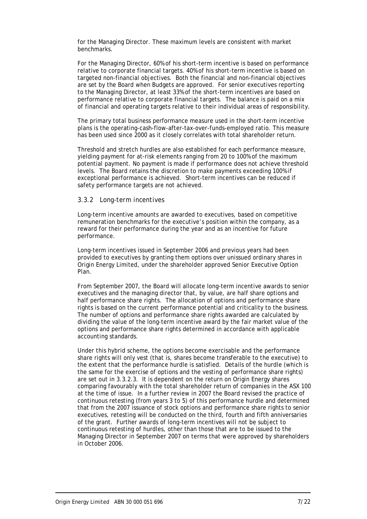for the Managing Director. These maximum levels are consistent with market benchmarks.

For the Managing Director, 60% of his short-term incentive is based on performance relative to corporate financial targets. 40% of his short-term incentive is based on targeted non-financial objectives. Both the financial and non-financial objectives are set by the Board when Budgets are approved. For senior executives reporting to the Managing Director, at least 33% of the short-term incentives are based on performance relative to corporate financial targets. The balance is paid on a mix of financial and operating targets relative to their individual areas of responsibility.

The primary total business performance measure used in the short-term incentive plans is the operating-cash-flow-after-tax-over-funds-employed ratio. This measure has been used since 2000 as it closely correlates with total shareholder return.

Threshold and stretch hurdles are also established for each performance measure, yielding payment for at-risk elements ranging from 20 to 100% of the maximum potential payment. No payment is made if performance does not achieve threshold levels. The Board retains the discretion to make payments exceeding 100% if exceptional performance is achieved. Short-term incentives can be reduced if safety performance targets are not achieved.

#### *3.3.2 Long-term incentives*

Long-term incentive amounts are awarded to executives, based on competitive remuneration benchmarks for the executive's position within the company, as a reward for their performance during the year and as an incentive for future performance.

Long-term incentives issued in September 2006 and previous years had been provided to executives by granting them options over unissued ordinary shares in Origin Energy Limited, under the shareholder approved Senior Executive Option Plan.

From September 2007, the Board will allocate long-term incentive awards to senior executives and the managing director that, by value, are half share options and half performance share rights. The allocation of options and performance share rights is based on the current performance potential and criticality to the business. The number of options and performance share rights awarded are calculated by dividing the value of the long-term incentive award by the fair market value of the options and performance share rights determined in accordance with applicable accounting standards.

Under this hybrid scheme, the options become exercisable and the performance share rights will only vest (that is, shares become transferable to the executive) to the extent that the performance hurdle is satisfied. Details of the hurdle (which is the same for the exercise of options and the vesting of performance share rights) are set out in 3.3.2.3. It is dependent on the return on Origin Energy shares comparing favourably with the total shareholder return of companies in the ASX 100 at the time of issue. In a further review in 2007 the Board revised the practice of continuous retesting (from years 3 to 5) of this performance hurdle and determined that from the 2007 issuance of stock options and performance share rights to senior executives, retesting will be conducted on the third, fourth and fifth anniversaries of the grant. Further awards of long-term incentives will not be subject to continuous retesting of hurdles, other than those that are to be issued to the Managing Director in September 2007 on terms that were approved by shareholders in October 2006.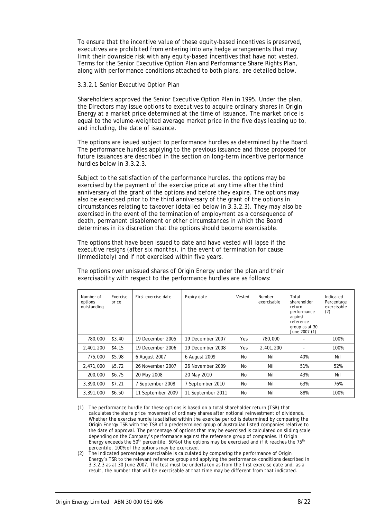To ensure that the incentive value of these equity-based incentives is preserved, executives are prohibited from entering into any hedge arrangements that may limit their downside risk with any equity-based incentives that have not vested. Terms for the Senior Executive Option Plan and Performance Share Rights Plan, along with performance conditions attached to both plans, are detailed below.

#### 3.3.2.1 Senior Executive Option Plan

Shareholders approved the Senior Executive Option Plan in 1995. Under the plan, the Directors may issue options to executives to acquire ordinary shares in Origin Energy at a market price determined at the time of issuance. The market price is equal to the volume-weighted average market price in the five days leading up to, and including, the date of issuance.

The options are issued subject to performance hurdles as determined by the Board. The performance hurdles applying to the previous issuance and those proposed for future issuances are described in the section on long-term incentive performance hurdles below in 3.3.2.3.

Subject to the satisfaction of the performance hurdles, the options may be exercised by the payment of the exercise price at any time after the third anniversary of the grant of the options and before they expire. The options may also be exercised prior to the third anniversary of the grant of the options in circumstances relating to takeover (detailed below in 3.3.2.3). They may also be exercised in the event of the termination of employment as a consequence of death, permanent disablement or other circumstances in which the Board determines in its discretion that the options should become exercisable.

The options that have been issued to date and have vested will lapse if the executive resigns (after six months), in the event of termination for cause (immediately) and if not exercised within five years.

| Number of<br>options<br>outstanding | Exercise<br>price | First exercise date | Expiry date       | Vested    | Number<br>exercisable | Total<br>shareholder<br>return<br>performance<br>against<br>reference<br>group as at 30<br>June 2007 (1) | Indicated<br>Percentage<br>exercisable<br>(2) |
|-------------------------------------|-------------------|---------------------|-------------------|-----------|-----------------------|----------------------------------------------------------------------------------------------------------|-----------------------------------------------|
| 780,000                             | \$3.40            | 19 December 2005    | 19 December 2007  | Yes       | 780,000               |                                                                                                          | 100%                                          |
| 2,401,200                           | \$4.15            | 19 December 2006    | 19 December 2008  | Yes       | 2,401,200             |                                                                                                          | 100%                                          |
| 775,000                             | \$5.98            | 6 August 2007       | 6 August 2009     | No        | Nil                   | 40%                                                                                                      | Nil                                           |
| 2,471,000                           | \$5.72            | 26 November 2007    | 26 November 2009  | <b>No</b> | Nil                   | 51%                                                                                                      | 52%                                           |
| 200,000                             | \$6.75            | 20 May 2008         | 20 May 2010       | No        | Nil                   | 43%                                                                                                      | Nil                                           |
| 3,390,000                           | \$7.21            | 7 September 2008    | 7 September 2010  | <b>No</b> | Nil                   | 63%                                                                                                      | 76%                                           |
| 3,391,000                           | \$6.50            | 11 September 2009   | 11 September 2011 | No        | Nil                   | 88%                                                                                                      | 100%                                          |

The options over unissued shares of Origin Energy under the plan and their exercisability with respect to the performance hurdles are as follows:

(1) The performance hurdle for these options is based on a total shareholder return (TSR) that calculates the share price movement of ordinary shares after notional reinvestment of dividends. Whether the exercise hurdle is satisfied within the exercise period is determined by comparing the Origin Energy TSR with the TSR of a predetermined group of Australian listed companies relative to the date of approval. The percentage of options that may be exercised is calculated on sliding scale depending on the Company's performance against the reference group of companies. If Origin Energy exceeds the 50<sup>th</sup> percentile, 50% of the options may be exercised and if it reaches the 75<sup>th</sup> percentile, 100% of the options may be exercised.

(2) The indicated percentage exercisable is calculated by comparing the performance of Origin Energy's TSR to the relevant reference group and applying the performance conditions described in 3.3.2.3 as at 30 June 2007. The test must be undertaken as from the first exercise date and, as a result, the number that will be exercisable at that time may be different from that indicated.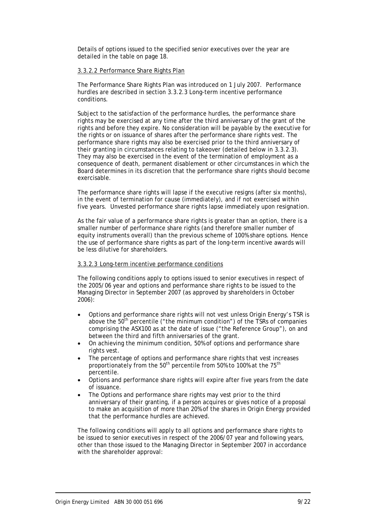Details of options issued to the specified senior executives over the year are detailed in the table on page 18.

#### 3.3.2.2 Performance Share Rights Plan

The Performance Share Rights Plan was introduced on 1 July 2007. Performance hurdles are described in section 3.3.2.3 Long-term incentive performance conditions.

Subject to the satisfaction of the performance hurdles, the performance share rights may be exercised at any time after the third anniversary of the grant of the rights and before they expire. No consideration will be payable by the executive for the rights or on issuance of shares after the performance share rights vest. The performance share rights may also be exercised prior to the third anniversary of their granting in circumstances relating to takeover (detailed below in 3.3.2.3). They may also be exercised in the event of the termination of employment as a consequence of death, permanent disablement or other circumstances in which the Board determines in its discretion that the performance share rights should become exercisable.

The performance share rights will lapse if the executive resigns (after six months), in the event of termination for cause (immediately), and if not exercised within five years. Unvested performance share rights lapse immediately upon resignation.

As the fair value of a performance share rights is greater than an option, there is a smaller number of performance share rights (and therefore smaller number of equity instruments overall) than the previous scheme of 100% share options. Hence the use of performance share rights as part of the long-term incentive awards will be less dilutive for shareholders.

#### 3.3.2.3 Long-term incentive performance conditions

The following conditions apply to options issued to senior executives in respect of the 2005/06 year and options and performance share rights to be issued to the Managing Director in September 2007 (as approved by shareholders in October 2006):

- Options and performance share rights will not vest unless Origin Energy's TSR is above the  $50<sup>th</sup>$  percentile ("the minimum condition") of the TSRs of companies comprising the ASX100 as at the date of issue ("the Reference Group"), on and between the third and fifth anniversaries of the grant.
- On achieving the minimum condition, 50% of options and performance share rights vest.
- The percentage of options and performance share rights that vest increases proportionately from the  $50<sup>th</sup>$  percentile from 50% to 100% at the 75<sup>th</sup> percentile.
- Options and performance share rights will expire after five years from the date of issuance.
- The Options and performance share rights may vest prior to the third anniversary of their granting, if a person acquires or gives notice of a proposal to make an acquisition of more than 20% of the shares in Origin Energy provided that the performance hurdles are achieved.

The following conditions will apply to all options and performance share rights to be issued to senior executives in respect of the 2006/07 year and following years, other than those issued to the Managing Director in September 2007 in accordance with the shareholder approval: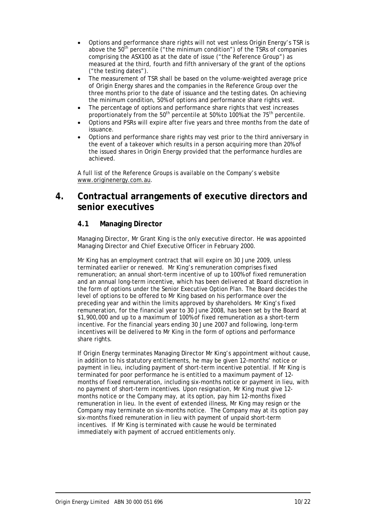- Options and performance share rights will not vest unless Origin Energy's TSR is above the 50<sup>th</sup> percentile ("the minimum condition") of the TSRs of companies comprising the ASX100 as at the date of issue ("the Reference Group") as measured at the third, fourth and fifth anniversary of the grant of the options ("the testing dates").
- The measurement of TSR shall be based on the volume-weighted average price of Origin Energy shares and the companies in the Reference Group over the three months prior to the date of issuance and the testing dates. On achieving the minimum condition, 50% of options and performance share rights vest.
- The percentage of options and performance share rights that vest increases proportionately from the  $50<sup>th</sup>$  percentile at 50% to 100% at the 75<sup>th</sup> percentile.
- Options and PSRs will expire after five years and three months from the date of issuance.
- Options and performance share rights may vest prior to the third anniversary in the event of a takeover which results in a person acquiring more than 20% of the issued shares in Origin Energy provided that the performance hurdles are achieved.

A full list of the Reference Groups is available on the Company's website www.originenergy.com.au.

## **4. Contractual arrangements of executive directors and senior executives**

### **4.1 Managing Director**

Managing Director, Mr Grant King is the only executive director. He was appointed Managing Director and Chief Executive Officer in February 2000.

Mr King has an employment contract that will expire on 30 June 2009, unless terminated earlier or renewed. Mr King's remuneration comprises fixed remuneration; an annual short-term incentive of up to 100% of fixed remuneration and an annual long-term incentive, which has been delivered at Board discretion in the form of options under the Senior Executive Option Plan. The Board decides the level of options to be offered to Mr King based on his performance over the preceding year and within the limits approved by shareholders. Mr King's fixed remuneration, for the financial year to 30 June 2008, has been set by the Board at \$1,900,000 and up to a maximum of 100% of fixed remuneration as a short-term incentive. For the financial years ending 30 June 2007 and following, long-term incentives will be delivered to Mr King in the form of options and performance share rights.

If Origin Energy terminates Managing Director Mr King's appointment without cause, in addition to his statutory entitlements, he may be given 12-months' notice or payment in lieu, including payment of short-term incentive potential. If Mr King is terminated for poor performance he is entitled to a maximum payment of 12 months of fixed remuneration, including six-months notice or payment in lieu, with no payment of short-term incentives. Upon resignation, Mr King must give 12 months notice or the Company may, at its option, pay him 12-months fixed remuneration in lieu. In the event of extended illness, Mr King may resign or the Company may terminate on six-months notice. The Company may at its option pay six-months fixed remuneration in lieu with payment of unpaid short-term incentives. If Mr King is terminated with cause he would be terminated immediately with payment of accrued entitlements only.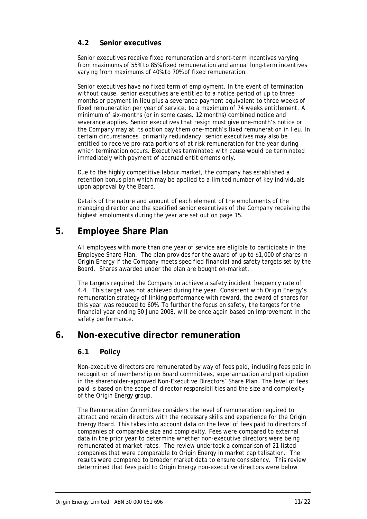### **4.2 Senior executives**

Senior executives receive fixed remuneration and short-term incentives varying from maximums of 55% to 85% fixed remuneration and annual long-term incentives varying from maximums of 40% to 70% of fixed remuneration.

Senior executives have no fixed term of employment. In the event of termination without cause, senior executives are entitled to a notice period of up to three months or payment in lieu plus a severance payment equivalent to three weeks of fixed remuneration per year of service, to a maximum of 74 weeks entitlement. A minimum of six-months (or in some cases, 12 months) combined notice and severance applies. Senior executives that resign must give one-month's notice or the Company may at its option pay them one-month's fixed remuneration in lieu. In certain circumstances, primarily redundancy, senior executives may also be entitled to receive pro-rata portions of at risk remuneration for the year during which termination occurs. Executives terminated with cause would be terminated immediately with payment of accrued entitlements only.

Due to the highly competitive labour market, the company has established a retention bonus plan which may be applied to a limited number of key individuals upon approval by the Board.

Details of the nature and amount of each element of the emoluments of the managing director and the specified senior executives of the Company receiving the highest emoluments during the year are set out on page 15.

## **5. Employee Share Plan**

All employees with more than one year of service are eligible to participate in the Employee Share Plan. The plan provides for the award of up to \$1,000 of shares in Origin Energy if the Company meets specified financial and safety targets set by the Board. Shares awarded under the plan are bought on-market.

The targets required the Company to achieve a safety incident frequency rate of 4.4. This target was not achieved during the year. Consistent with Origin Energy's remuneration strategy of linking performance with reward, the award of shares for this year was reduced to 60%. To further the focus on safety, the targets for the financial year ending 30 June 2008, will be once again based on improvement in the safety performance.

## **6. Non-executive director remuneration**

### **6.1 Policy**

Non-executive directors are remunerated by way of fees paid, including fees paid in recognition of membership on Board committees, superannuation and participation in the shareholder-approved Non-Executive Directors' Share Plan. The level of fees paid is based on the scope of director responsibilities and the size and complexity of the Origin Energy group.

The Remuneration Committee considers the level of remuneration required to attract and retain directors with the necessary skills and experience for the Origin Energy Board. This takes into account data on the level of fees paid to directors of companies of comparable size and complexity. Fees were compared to external data in the prior year to determine whether non-executive directors were being remunerated at market rates. The review undertook a comparison of 21 listed companies that were comparable to Origin Energy in market capitalisation. The results were compared to broader market data to ensure consistency. This review determined that fees paid to Origin Energy non-executive directors were below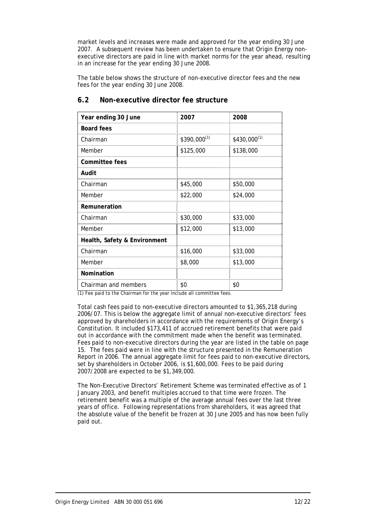market levels and increases were made and approved for the year ending 30 June 2007. A subsequent review has been undertaken to ensure that Origin Energy nonexecutive directors are paid in line with market norms for the year ahead, resulting in an increase for the year ending 30 June 2008.

The table below shows the structure of non-executive director fees and the new fees for the year ending 30 June 2008.

| Year ending 30 June          | 2007             | 2008             |
|------------------------------|------------------|------------------|
| <b>Board fees</b>            |                  |                  |
| Chairman                     | $$390,000^{(1)}$ | $$430,000^{(1)}$ |
| Member                       | \$125,000        | \$138,000        |
| <b>Committee fees</b>        |                  |                  |
| Audit                        |                  |                  |
| Chairman                     | \$45,000         | \$50,000         |
| Member                       | \$22,000         | \$24,000         |
| Remuneration                 |                  |                  |
| Chairman                     | \$30,000         | \$33,000         |
| Member                       | \$12,000         | \$13,000         |
| Health, Safety & Environment |                  |                  |
| Chairman                     | \$16,000         | \$33,000         |
| Member                       | \$8,000          | \$13,000         |
| Nomination                   |                  |                  |
| Chairman and members         | \$0              | \$0              |

### **6.2 Non-executive director fee structure**

(1) Fee paid to the Chairman for the year include all committee fees.

Total cash fees paid to non-executive directors amounted to \$1,365,218 during 2006/07. This is below the aggregate limit of annual non-executive directors' fees approved by shareholders in accordance with the requirements of Origin Energy's Constitution. It included \$173,411 of accrued retirement benefits that were paid out in accordance with the commitment made when the benefit was terminated. Fees paid to non-executive directors during the year are listed in the table on page 15. The fees paid were in line with the structure presented in the Remuneration Report in 2006. The annual aggregate limit for fees paid to non-executive directors, set by shareholders in October 2006, is \$1,600,000. Fees to be paid during 2007/2008 are expected to be \$1,349,000.

The Non-Executive Directors' Retirement Scheme was terminated effective as of 1 January 2003, and benefit multiples accrued to that time were frozen. The retirement benefit was a multiple of the average annual fees over the last three years of office. Following representations from shareholders, it was agreed that the absolute value of the benefit be frozen at 30 June 2005 and has now been fully paid out.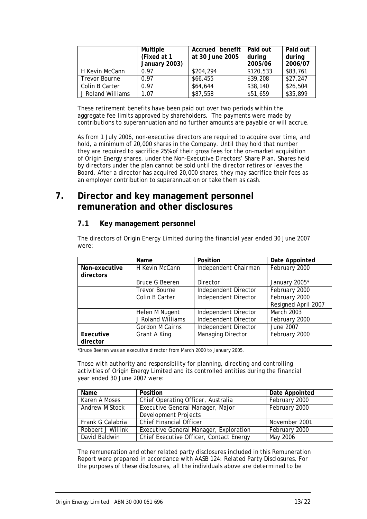|                   | Multiple<br>(Fixed at 1<br>January 2003) | Accrued benefit<br>at 30 June 2005 | Paid out<br>during<br>2005/06 | Paid out<br>during<br>2006/07 |
|-------------------|------------------------------------------|------------------------------------|-------------------------------|-------------------------------|
| H Kevin McCann    | 0.97                                     | \$204,294                          | \$120,533                     | \$83,761                      |
| Trevor Bourne     | 0.97                                     | \$66,455                           | \$39,208                      | \$27,247                      |
| Colin B Carter    | 0.97                                     | \$64,644                           | \$38,140                      | \$26,504                      |
| J Roland Williams | 1.07                                     | \$87,558                           | \$51,659                      | \$35,899                      |

These retirement benefits have been paid out over two periods within the aggregate fee limits approved by shareholders. The payments were made by contributions to superannuation and no further amounts are payable or will accrue.

As from 1 July 2006, non-executive directors are required to acquire over time, and hold, a minimum of 20,000 shares in the Company. Until they hold that number they are required to sacrifice 25% of their gross fees for the on-market acquisition of Origin Energy shares, under the Non-Executive Directors' Share Plan. Shares held by directors under the plan cannot be sold until the director retires or leaves the Board. After a director has acquired 20,000 shares, they may sacrifice their fees as an employer contribution to superannuation or take them as cash.

## **7. Director and key management personnel remuneration and other disclosures**

### **7.1 Key management personnel**

The directors of Origin Energy Limited during the financial year ended 30 June 2007 were:

|                       | Name                   | Position                    | Date Appointed      |
|-----------------------|------------------------|-----------------------------|---------------------|
| Non-executive         | H Kevin McCann         | Independent Chairman        | February 2000       |
| directors             |                        |                             |                     |
|                       | <b>Bruce G Beeren</b>  | Director                    | January 2005*       |
|                       | <b>Trevor Bourne</b>   | <b>Independent Director</b> | February 2000       |
|                       | Colin B Carter         | <b>Independent Director</b> | February 2000       |
|                       |                        |                             | Resigned April 2007 |
|                       | Helen M Nugent         | Independent Director        | <b>March 2003</b>   |
|                       | J Roland Williams      | <b>Independent Director</b> | February 2000       |
|                       | <b>Gordon M Cairns</b> | Independent Director        | June 2007           |
| Executive<br>director | Grant A King           | <b>Managing Director</b>    | February 2000       |

\*Bruce Beeren was an executive director from March 2000 to January 2005.

Those with authority and responsibility for planning, directing and controlling activities of Origin Energy Limited and its controlled entities during the financial year ended 30 June 2007 were:

| Name              | <b>Position</b>                         | Date Appointed |
|-------------------|-----------------------------------------|----------------|
| Karen A Moses     | Chief Operating Officer, Australia      | February 2000  |
| Andrew M Stock    | Executive General Manager, Major        | February 2000  |
|                   | Development Projects                    |                |
| Frank G Calabria  | <b>Chief Financial Officer</b>          | November 2001  |
| Robbert J Willink | Executive General Manager, Exploration  | February 2000  |
| David Baldwin     | Chief Executive Officer, Contact Energy | May 2006       |

The remuneration and other related party disclosures included in this Remuneration Report were prepared in accordance with AASB 124: *Related Party Disclosures*. For the purposes of these disclosures, all the individuals above are determined to be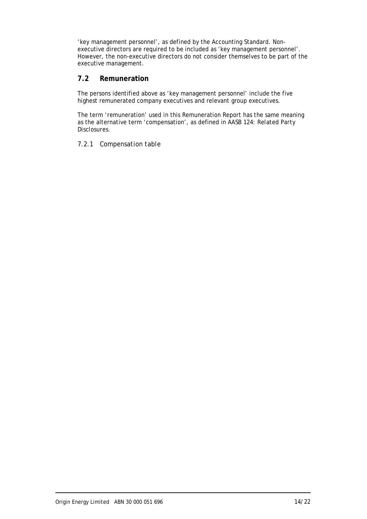'key management personnel', as defined by the Accounting Standard. Nonexecutive directors are required to be included as 'key management personnel'. However, the non-executive directors do not consider themselves to be part of the executive management.

### **7.2 Remuneration**

The persons identified above as 'key management personnel' include the five highest remunerated company executives and relevant group executives.

The term 'remuneration' used in this Remuneration Report has the same meaning as the alternative term 'compensation', as defined in AASB 124: *Related Party Disclosures.*

#### *7.2.1 Compensation table*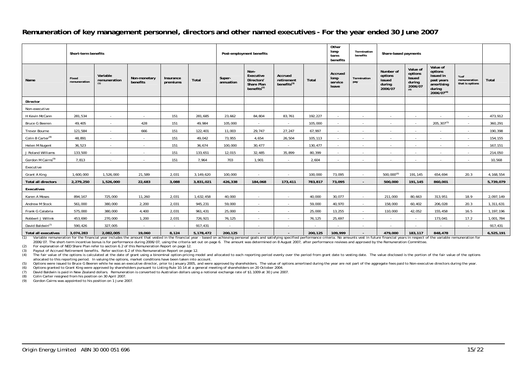#### **Remuneration of key management personnel, directors and other named executives - For the year ended 30 June 2007**

|                                | Short-term benefits   |                                 |                          | Post-employment benefits |           |                     | Other<br>long-<br>term<br>benefits                                       | Termination<br>benefits                          | Share-based payments |                                      |                          |                                                     |                                                           |                                                                                      |                                         |             |
|--------------------------------|-----------------------|---------------------------------|--------------------------|--------------------------|-----------|---------------------|--------------------------------------------------------------------------|--------------------------------------------------|----------------------|--------------------------------------|--------------------------|-----------------------------------------------------|-----------------------------------------------------------|--------------------------------------------------------------------------------------|-----------------------------------------|-------------|
| Name                           | Fixed<br>remuneration | Variable<br>remuneration<br>(1) | Non-monetary<br>benefits | Insurance<br>premiums    | Total     | Super-<br>annuation | Non-<br>Executive<br><b>Directors</b><br>Share Plan<br>benefits $^{(2)}$ | Accrued<br>retirement<br>benefits <sup>(3)</sup> | Total                | Accrued<br>long-<br>service<br>leave | Termination<br>pay       | Number of<br>options<br>issued<br>during<br>2006/07 | Value of<br>options<br>Issued<br>during<br>2006/07<br>(4) | Value of<br>options<br>issued in<br>past years<br>amortising<br>during<br>2006/07(4) | % of<br>remuneration<br>that is options | Total       |
| Director                       |                       |                                 |                          |                          |           |                     |                                                                          |                                                  |                      |                                      |                          |                                                     |                                                           |                                                                                      |                                         |             |
| Non-executive                  |                       |                                 |                          |                          |           |                     |                                                                          |                                                  |                      |                                      |                          |                                                     |                                                           |                                                                                      |                                         |             |
| H Kevin McCann                 | 281,534               | $\sim$                          | $\sim$                   | 151                      | 281,685   | 23,662              | 84,804                                                                   | 83,761                                           | 192,227              | $\sim$                               | $\overline{\phantom{a}}$ | $\sim$                                              | $\sim$                                                    | ٠                                                                                    | $\sim$                                  | 473,912     |
| <b>Bruce G Beeren</b>          | 49,405                | $\sim$                          | 428                      | 151                      | 49,984    | 105,000             | ٠                                                                        | $\sim$                                           | 105,000              | $\sim$                               | $\sim$                   | $\sim$                                              | $\sim$                                                    | $205, 307^{(5)}$                                                                     | $\sim$                                  | 360,291     |
| Trevor Bourne                  | 121,584               | $\sim$                          | 666                      | 151                      | 122,401   | 11,003              | 29,747                                                                   | 27,247                                           | 67,997               | $\sim$                               | $\sim$                   | $\sim$                                              | $\sim$                                                    | ٠                                                                                    | $\sim$                                  | 190,398     |
| Colin B Carter <sup>(8)</sup>  | 48,891                | $\sim$                          | $\sim$                   | 151                      | 49,042    | 73,955              | 4,654                                                                    | 26,504                                           | 105,113              | $\sim$                               | $\sim$                   | $\sim$                                              | $\sim$                                                    | $\sim$                                                                               | $\sim$                                  | 154,155     |
| Helen M Nugent                 | 36,523                | $\sim$                          | $\sim$                   | 151                      | 36,674    | 100,000             | 30,477                                                                   | $\sim$                                           | 130,477              | $\sim$                               | $\sim$                   | $\sim$                                              | $\sim$                                                    | $\sim$                                                                               | $\sim$                                  | 167,151     |
| J Roland Williams              | 133,500               | $\sim$                          | $\sim$                   | 151                      | 133,651   | 12,015              | 32,485                                                                   | 35,899                                           | 80,399               | $\sim$                               | $\sim$                   | $\sim$                                              | $\sim$                                                    | ٠                                                                                    | $\sim$                                  | 214,050     |
| Gordon M Cairns <sup>(9)</sup> | 7,813                 | $\sim$                          | $\sim$                   | 151                      | 7,964     | 703                 | 1,901                                                                    | $\sim$                                           | 2,604                | $\overline{\phantom{a}}$             | $\sim$                   | $\sim$                                              | $\sim$                                                    | $\sim$                                                                               | $\sim$                                  | 10,568      |
| Executive                      |                       |                                 |                          |                          |           |                     |                                                                          |                                                  |                      |                                      |                          |                                                     |                                                           |                                                                                      |                                         |             |
| Grant A King                   | 1,600,000             | 1,526,000                       | 21,589                   | 2,031                    | 3,149,620 | 100,000             | $\sim$                                                                   | $\sim$                                           | 100,000              | 73,095                               | $\sim$                   | $500,000^{(6)}$                                     | 191,145                                                   | 654,694                                                                              | 20.3                                    | 4, 168, 554 |
| <b>Total all directors</b>     | 2,279,250             | 1,526,000                       | 22,683                   | 3,088                    | 3,831,021 | 426,338             | 184,068                                                                  | 173,411                                          | 783,817              | 73,095                               | $\sim$                   | 500,000                                             | 191,145                                                   | 860,001                                                                              |                                         | 5,739,079   |
| Executives                     |                       |                                 |                          |                          |           |                     |                                                                          |                                                  |                      |                                      |                          |                                                     |                                                           |                                                                                      |                                         |             |
| Karen A Moses                  | 894,167               | 725,000                         | 11,260                   | 2,031                    | 1,632,458 | 40,000              | $\sim$                                                                   | $\sim$                                           | 40.000               | 30,077                               | $\sim$                   | 211,000                                             | 80,663                                                    | 313,951                                                                              | 18.9                                    | 2,097,149   |
| Andrew M Stock                 | 561,000               | 380,000                         | 2,200                    | 2,031                    | 945,231   | 59,000              | $\sim$                                                                   | $\sim$                                           | 59,000               | 40,970                               | $\sim$                   | 158,000                                             | 60,402                                                    | 206,028                                                                              | 20.3                                    | 1,311,631   |
| Frank G Calabria               | 575,000               | 380,000                         | 4,400                    | 2,031                    | 961,431   | 25,000              | $\sim$                                                                   | $\sim$                                           | 25,000               | 13,255                               | $\sim$                   | 110,000                                             | 42,052                                                    | 155,458                                                                              | 16.5                                    | 1,197,196   |
| Robbert J Willink              | 453.690               | 270,000                         | 1,200                    | 2.031                    | 726.921   | 76.125              | $\sim$                                                                   | $\sim$                                           | 76.125               | 25,697                               | $\sim$                   | $\sim$                                              | $\sim$                                                    | 173,041                                                                              | 17.2                                    | 1,001,784   |
| David Baldwin <sup>(7)</sup>   | 590,426               | 327,005                         | $\sim$                   | $\sim$                   | 917,431   |                     | $\sim$                                                                   | $\sim$                                           |                      | $\overline{\phantom{a}}$             | $\sim$                   |                                                     | ٠                                                         | ٠                                                                                    | $\sim$                                  | 917,431     |
| <b>Total all executives</b>    | 3,074,283             | 2,082,005                       | 19,060                   | 8,124                    | 5,178,472 | 200,125             | $\sim$                                                                   | $\sim$                                           | 200,125              | 109,999                              | $\sim$                   | 479,000                                             | 183,117                                                   | 848,478                                                                              |                                         | 6,525,191   |

(1) Variable remuneration for the financial year includes the amount that vested in the financial year - based on achieving personal goals and satisfying specified performance criteria. No amounts vest in future financial 2006/07. The short-term incentive bonus is for performance during 2006/07, using the criteria set out on page 6. The amount was determined on 8 August 2007, after performance reviews and approved by the Remuneration Commit

(2) For explanation of NED Share Plan refer to section 6.2 of this Remuneration Report on page 12.

(3) Payout of Accrued Retirement benefits. Refer section 6.2 of this Remuneration Report on page 12.

(4) The fair value of the options is calculated at the date of grant using a binominal option-pricing model and allocated to each reporting period evenly over the period from grant date to vesting date. The value disclosed allocated to this reporting period. In valuing the options, market conditions have been taken into account.

(5) Options were issued to Bruce G Beeren while he was an executive director, prior to January 2005, and were approved by shareholders. The value of options amortised during the year are not part of the aggregate fees paid

(6) Options granted to Grant King were approved by shareholders pursuant to Listing Rule 10.14 at a general meeting of shareholders on 20 October 2004.

(7) David Baldwin is paid in New Zealand dollars. Remuneration is converted to Australian dollars using a notional exchange rate of \$1.1009 at 30 June 2007.

(8) Colin Carter resigned from his position on 30 April 2007.

Gordon Cairns was appointed to his position on 1 June 2007.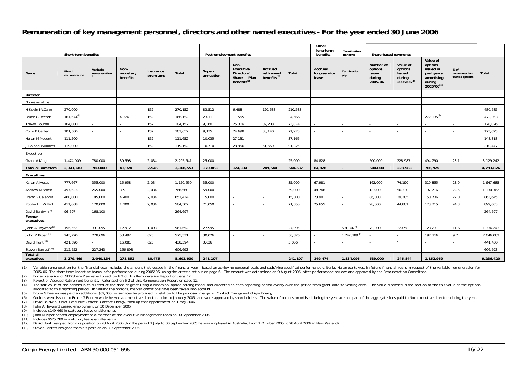#### **Remuneration of key management personnel, directors and other named executives - For the year ended 30 June 2006**

|                                | Short-term benefits   |                          |                              |                       |           | Post-employment benefits |                                                                    |                                            | Other<br>long-term<br>benefits | Termination<br>benefits          | Share-based payments |                                                     |                                                                   |                                                                                      |                                         |           |
|--------------------------------|-----------------------|--------------------------|------------------------------|-----------------------|-----------|--------------------------|--------------------------------------------------------------------|--------------------------------------------|--------------------------------|----------------------------------|----------------------|-----------------------------------------------------|-------------------------------------------------------------------|--------------------------------------------------------------------------------------|-----------------------------------------|-----------|
| Name                           | Fixed<br>remuneration | Variable<br>remuneration | Non-<br>monetary<br>benefits | Insurance<br>premiums | Total     | Super-<br>annuation      | Non-<br>Executive<br>Directors'<br>Plan<br>Share<br>benefits $(2)$ | Accrued<br>retirement<br>benefits $^{(3)}$ | Total                          | Accrued<br>long-service<br>leave | Termination<br>pay   | Number of<br>options<br>issued<br>during<br>2005/06 | Value of<br>options<br><b>Issued</b><br>during<br>$2005/06^{(4)}$ | Value of<br>options<br>issued in<br>past years<br>amortising<br>during<br>2005/06(4) | % of<br>remuneration<br>that is options | Total     |
| Director                       |                       |                          |                              |                       |           |                          |                                                                    |                                            |                                |                                  |                      |                                                     |                                                                   |                                                                                      |                                         |           |
| Non-executive                  |                       |                          |                              |                       |           |                          |                                                                    |                                            |                                |                                  |                      |                                                     |                                                                   |                                                                                      |                                         |           |
| H Kevin McCann                 | 270,000               |                          |                              | 152                   | 270,152   | 83,512                   | 6.488                                                              | 120,533                                    | 210,533                        |                                  |                      |                                                     |                                                                   |                                                                                      |                                         | 480.685   |
| <b>Bruce G Beeren</b>          | $161,674^{(5)}$       |                          | 4,326                        | 152                   | 166,152   | 23,111                   | 11,555                                                             |                                            | 34,666                         |                                  |                      |                                                     |                                                                   | 272, 135 <sup>(6)</sup>                                                              |                                         | 472,953   |
| Trevor Bourne                  | 104,000               |                          |                              | 152                   | 104,152   | 9,360                    | 25,306                                                             | 39,208                                     | 73,874                         |                                  |                      |                                                     |                                                                   |                                                                                      |                                         | 178,026   |
| Colin B Carter                 | 101,500               |                          |                              | 152                   | 101,652   | 9,135                    | 24,698                                                             | 38,140                                     | 71,973                         |                                  |                      |                                                     |                                                                   |                                                                                      |                                         | 173,625   |
| Helen M Nugent                 | 111,500               |                          |                              | 152                   | 111,652   | 10,035                   | 27,131                                                             |                                            | 37,166                         |                                  |                      |                                                     |                                                                   |                                                                                      |                                         | 148,818   |
| J Roland Williams              | 119,000               |                          |                              | 152                   | 119,152   | 10,710                   | 28,956                                                             | 51.659                                     | 91,325                         |                                  |                      |                                                     |                                                                   |                                                                                      |                                         | 210,477   |
| Executive                      |                       |                          |                              |                       |           |                          |                                                                    |                                            |                                |                                  |                      |                                                     |                                                                   |                                                                                      |                                         |           |
| Grant A King                   | 1.474.009             | 780.000                  | 39,598                       | 2,034                 | 2,295,641 | 25,000                   |                                                                    |                                            | 25,000                         | 84.828                           |                      | 500,000                                             | 228.983                                                           | 494.790                                                                              | 23.1                                    | 3,129,242 |
| <b>Total all directors</b>     | 2,341,683             | 780,000                  | 43,924                       | 2,946                 | 3,168,553 | 170,863                  | 124,134                                                            | 249,540                                    | 544,537                        | 84,828                           |                      | 500,000                                             | 228,983                                                           | 766,925                                                                              |                                         | 4,793,826 |
| Executives                     |                       |                          |                              |                       |           |                          |                                                                    |                                            |                                |                                  |                      |                                                     |                                                                   |                                                                                      |                                         |           |
| Karen A Moses                  | 777,667               | 355,000                  | 15,958                       | 2,034                 | 1,150,659 | 35,000                   |                                                                    |                                            | 35,000                         | 67,981                           |                      | 162,000                                             | 74,190                                                            | 319,855                                                                              | 23.9                                    | 1,647,685 |
| Andrew M Stock                 | 497,623               | 265,000                  | 3,911                        | 2,034                 | 768,568   | 59,000                   |                                                                    |                                            | 59,000                         | 48,748                           |                      | 123,000                                             | 56,330                                                            | 197,716                                                                              | 22.5                                    | 1,130,362 |
| Frank G Calabria               | 460,000               | 185,000                  | 4.400                        | 2,034                 | 651,434   | 15,000                   |                                                                    |                                            | 15,000                         | 7,090                            |                      | 86,000                                              | 39,385                                                            | 150,736                                                                              | 22.0                                    | 863,645   |
| Robbert J Willink              | 411,068               | 170,000                  | 1,200                        | 2,034                 | 584,302   | 71,050                   |                                                                    |                                            | 71,050                         | 25,655                           |                      | 98,000                                              | 44,881                                                            | 173,715                                                                              | 24.3                                    | 899,603   |
| David Baldwin <sup>(7)</sup>   | 96,597                | 168,100                  |                              |                       | 264,697   |                          |                                                                    |                                            |                                |                                  |                      |                                                     |                                                                   |                                                                                      |                                         | 264,697   |
| Former<br>executives           |                       |                          |                              |                       |           |                          |                                                                    |                                            |                                |                                  |                      |                                                     |                                                                   |                                                                                      |                                         |           |
| John A Hayward <sup>(8)</sup>  | 156,552               | 391,095                  | 12,912                       | 1,093                 | 561,652   | 27,995                   |                                                                    |                                            | 27,995                         |                                  | $591,307^{(9)}$      | 70,000                                              | 32,058                                                            | 123,231                                                                              | 11.6                                    | 1,336,243 |
| John M Piper <sup>(10)</sup>   | 245,720               | 278,696                  | 50,492                       | 623                   | 575,531   | 30,026                   |                                                                    |                                            | 30,026                         |                                  | $1,242,789^{(11)}$   |                                                     |                                                                   | 197,716                                                                              | 9.7                                     | 2,046,062 |
| David Hunt <sup>(12)</sup>     | 421,690               |                          | 16,081                       | 623                   | 438,394   | 3,036                    |                                                                    |                                            | 3,036                          |                                  |                      |                                                     |                                                                   |                                                                                      |                                         | 441,430   |
| Steven Barrett <sup>(13)</sup> | 212,552               | 227,243                  | 166,898                      |                       | 606,693   |                          |                                                                    |                                            |                                |                                  |                      |                                                     |                                                                   |                                                                                      |                                         | 606,693   |
| <b>Total all</b><br>executives | 3,279,469             | 2,040,134                | 271,852                      | 10,475                | 5,601,930 | 241,107                  |                                                                    |                                            | 241,107                        | 149,474                          | 1,834,096            | 539,000                                             | 246,844                                                           | 1,162,969                                                                            |                                         | 9,236,420 |

(1) Variable remuneration for the financial year includes the amount that vested in the financial year - based on achieving personal goals and satisfying specified performance criteria. No amounts vest in future financial 2005/06. The short-term incentive bonus is for performance during 2005/06. using the criteria set out on page 6. The amount was determined on 9 August 2006, after performance reviews and approved by the Remuneration Commit

(2) For explanation of NED Share Plan refer to section 6.2 of this Remuneration Report on page 12.

(3) Payout of Accrued Retirement benefits. Refer section 6.2 of this Remuneration Report on page 12.

(4) The fair value of the options is calculated at the date of grant using a binominal option-pricing model and allocated to each reporting period evenly over the period from grant date to vesting date. The value disclosed allocated to this reporting period. In valuing the options, market conditions have been taken into account.

(5) Bruce G Beeren was paid an additional \$62,000 for services he provided in relation to the proposed merger of Contact Energy and Origin Energy.

(6) Options were issued to Bruce G Beeren while he was an executive director, prior to January 2005, and were approved by shareholders. The value of options amortised during the year are not part of the aggregate fees paid

(7) David Baldwin, Chief Executive Officer, Contact Energy, took up that appointment on 1 May 2006.

(8) John A Hayward ceased employment on 30 December 2005.

(9) Includes \$149,460 in statutory leave entitlements.

(10) John M Piper ceased employment as a member of the executive management team on 30 September 2005.

(11) Includes \$525,289 in statutory leave entitlements.

 $(12)$  David Hunt resigned from his position on 28 April 2006 (for the period 1 July to 30 September 2005 he was employed in Australia, from 1 October 2005 to 28 April 2006 in New Zealand)

(13) Steven Barrett resigned from his position on 30 September 2005.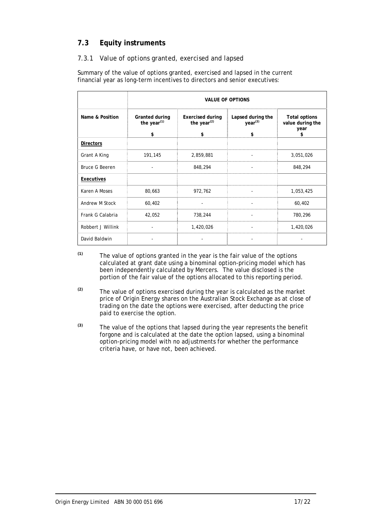## **7.3 Equity instruments**

#### *7.3.1 Value of options granted, exercised and lapsed*

Summary of the value of options granted, exercised and lapsed in the current financial year as long-term incentives to directors and senior executives:

|                       | <b>VALUE OF OPTIONS</b>                |                                                 |                                                |                                                        |  |  |  |  |  |
|-----------------------|----------------------------------------|-------------------------------------------------|------------------------------------------------|--------------------------------------------------------|--|--|--|--|--|
| Name & Position       | Granted during<br>the year $(1)$<br>\$ | <b>Exercised during</b><br>the year $(2)$<br>\$ | Lapsed during the<br>year <sup>(3)</sup><br>\$ | <b>Total options</b><br>value during the<br>year<br>\$ |  |  |  |  |  |
| <b>Directors</b>      |                                        |                                                 |                                                |                                                        |  |  |  |  |  |
| Grant A King          | 191,145                                | 2,859,881                                       |                                                | 3,051,026                                              |  |  |  |  |  |
| <b>Bruce G Beeren</b> |                                        | 848,294                                         |                                                | 848,294                                                |  |  |  |  |  |
| Executives            |                                        |                                                 |                                                |                                                        |  |  |  |  |  |
| Karen A Moses         | 80,663                                 | 972,762                                         |                                                | 1,053,425                                              |  |  |  |  |  |
| Andrew M Stock        | 60,402                                 |                                                 |                                                | 60,402                                                 |  |  |  |  |  |
| Frank G Calabria      | 42,052                                 | 738,244                                         |                                                | 780,296                                                |  |  |  |  |  |
| Robbert J Willink     |                                        | 1,420,026                                       |                                                | 1,420,026                                              |  |  |  |  |  |
| David Baldwin         |                                        |                                                 |                                                |                                                        |  |  |  |  |  |

- **(1)** The value of options granted in the year is the fair value of the options calculated at grant date using a binominal option-pricing model which has been independently calculated by Mercers. The value disclosed is the portion of the fair value of the options allocated to this reporting period.
- **(2)** The value of options exercised during the year is calculated as the market price of Origin Energy shares on the Australian Stock Exchange as at close of trading on the date the options were exercised, after deducting the price paid to exercise the option.
- **(3)** The value of the options that lapsed during the year represents the benefit forgone and is calculated at the date the option lapsed, using a binominal option-pricing model with no adjustments for whether the performance criteria have, or have not, been achieved.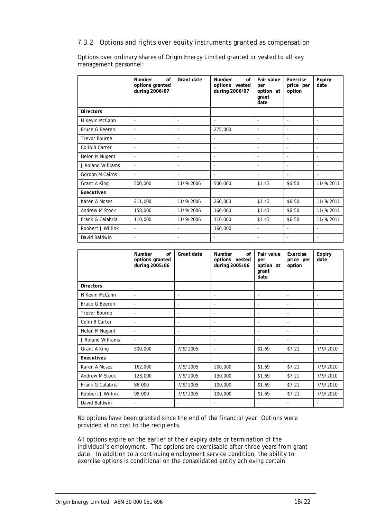#### *7.3.2 Options and rights over equity instruments granted as compensation*

Options over ordinary shares of Origin Energy Limited granted or vested to all key management personnel:

|                       | Number<br>of<br>options granted<br>during 2006/07 | Grant date               | <b>Number</b><br>$\alpha$ f<br>options vested<br>during 2006/07 | Fair value<br>per<br>option at<br>grant<br>date | Exercise<br>price per<br>option | <b>Expiry</b><br>date    |
|-----------------------|---------------------------------------------------|--------------------------|-----------------------------------------------------------------|-------------------------------------------------|---------------------------------|--------------------------|
| <b>Directors</b>      |                                                   |                          |                                                                 |                                                 |                                 |                          |
| H Kevin McCann        | $\overline{\phantom{a}}$                          | $\overline{\phantom{a}}$ | $\overline{\phantom{a}}$                                        | ٠                                               | $\overline{\phantom{a}}$        | $\overline{\phantom{0}}$ |
| <b>Bruce G Beeren</b> | $\blacksquare$                                    | $\overline{\phantom{a}}$ | 275,000                                                         | ٠                                               |                                 | $\overline{\phantom{a}}$ |
| <b>Trevor Bourne</b>  | $\overline{\phantom{a}}$                          | $\overline{\phantom{a}}$ | $\overline{\phantom{a}}$                                        |                                                 | ٠                               | $\overline{\phantom{a}}$ |
| Colin B Carter        | $\overline{\phantom{a}}$                          | $\overline{\phantom{a}}$ | $\overline{\phantom{a}}$                                        |                                                 | ٠                               | $\overline{\phantom{a}}$ |
| Helen M Nugent        | $\overline{\phantom{m}}$                          | $\overline{\phantom{a}}$ | $\overline{\phantom{a}}$                                        |                                                 | $\blacksquare$                  | $\overline{\phantom{a}}$ |
| J Roland Williams     | $\overline{\phantom{a}}$                          | $\overline{\phantom{a}}$ | $\overline{\phantom{a}}$                                        |                                                 | $\overline{\phantom{a}}$        | $\overline{\phantom{a}}$ |
| Gordon M Cairns       | $\blacksquare$                                    | ٠                        | $\blacksquare$                                                  |                                                 | $\overline{\phantom{a}}$        |                          |
| Grant A King          | 500,000                                           | 11/9/2006                | 500,000                                                         | \$1.43                                          | \$6.50                          | 11/9/2011                |
| Executives            |                                                   |                          |                                                                 |                                                 |                                 |                          |
| Karen A Moses         | 211,000                                           | 11/9/2006                | 260,000                                                         | \$1.43                                          | \$6.50                          | 11/9/2011                |
| Andrew M Stock        | 158,000                                           | 11/9/2006                | 160,000                                                         | \$1.43                                          | \$6.50                          | 11/9/2011                |
| Frank G Calabria      | 110,000                                           | 11/9/2006                | 110,000                                                         | \$1.43                                          | \$6.50                          | 11/9/2011                |
| Robbert J Willink     | $\blacksquare$                                    | $\blacksquare$           | 160,000                                                         | ٠                                               | $\blacksquare$                  | $\overline{\phantom{a}}$ |
| David Baldwin         | $\blacksquare$                                    | $\overline{\phantom{a}}$ | $\blacksquare$                                                  | ۰                                               | $\blacksquare$                  | $\overline{\phantom{a}}$ |

|                      | Number<br>of<br>options granted<br>during 2005/06 | Grant date               | <b>Number</b><br>of<br>options vested<br>during 2005/06 | Fair value<br>per<br>option at<br>grant<br>date | Exercise<br>price per<br>option | Expiry<br>date           |
|----------------------|---------------------------------------------------|--------------------------|---------------------------------------------------------|-------------------------------------------------|---------------------------------|--------------------------|
| <b>Directors</b>     |                                                   |                          |                                                         |                                                 |                                 |                          |
| H Kevin McCann       | $\overline{\phantom{0}}$                          | $\overline{\phantom{a}}$ | $\overline{\phantom{a}}$                                | $\overline{\phantom{a}}$                        | $\overline{\phantom{a}}$        | $\overline{\phantom{a}}$ |
| Bruce G Beeren       | $\overline{\phantom{a}}$                          | $\overline{\phantom{a}}$ | $\overline{\phantom{a}}$                                | $\overline{\phantom{a}}$                        | $\overline{\phantom{a}}$        | $\overline{\phantom{a}}$ |
| <b>Trevor Bourne</b> | ٠                                                 | $\overline{\phantom{a}}$ | $\overline{\phantom{a}}$                                | ٠                                               | $\overline{\phantom{a}}$        | $\overline{\phantom{a}}$ |
| Colin B Carter       | $\overline{\phantom{a}}$                          | $\overline{\phantom{a}}$ | $\overline{\phantom{a}}$                                | $\overline{\phantom{a}}$                        |                                 | ÷                        |
| Helen M Nugent       | $\overline{\phantom{a}}$                          | $\overline{\phantom{a}}$ | $\overline{\phantom{a}}$                                |                                                 |                                 |                          |
| J Roland Williams    | $\overline{\phantom{0}}$                          | $\overline{\phantom{a}}$ | $\overline{\phantom{a}}$                                | ٠                                               | $\overline{\phantom{a}}$        | $\overline{\phantom{a}}$ |
| Grant A King         | 500,000                                           | 7/9/2005                 | $\overline{\phantom{a}}$                                | \$1.69                                          | \$7.21                          | 7/9/2010                 |
| Executives           |                                                   |                          |                                                         |                                                 |                                 |                          |
| Karen A Moses        | 162,000                                           | 7/9/2005                 | 200,000                                                 | \$1.69                                          | \$7.21                          | 7/9/2010                 |
| Andrew M Stock       | 123,000                                           | 7/9/2005                 | 130,000                                                 | \$1.69                                          | \$7.21                          | 7/9/2010                 |
| Frank G Calabria     | 86,000                                            | 7/9/2005                 | 100,000                                                 | \$1.69                                          | \$7.21                          | 7/9/2010                 |
| Robbert J Willink    | 98,000                                            | 7/9/2005                 | 100,000                                                 | \$1.69                                          | \$7.21                          | 7/9/2010                 |
| David Baldwin        | ٠                                                 | $\overline{\phantom{a}}$ | $\overline{\phantom{a}}$                                | ٠                                               | $\overline{\phantom{a}}$        | $\overline{\phantom{a}}$ |

No options have been granted since the end of the financial year. Options were provided at no cost to the recipients.

All options expire on the earlier of their expiry date or termination of the individual's employment. The options are exercisable after three years from grant date. In addition to a continuing employment service condition, the ability to exercise options is conditional on the consolidated entity achieving certain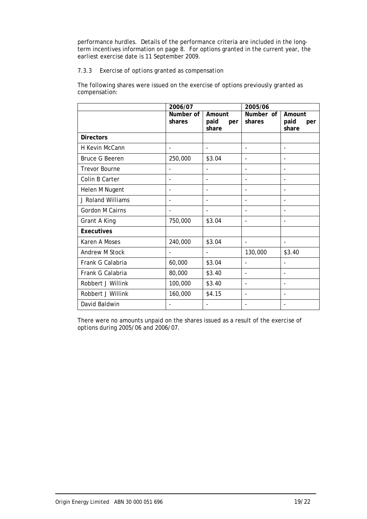performance hurdles. Details of the performance criteria are included in the longterm incentives information on page 8. For options granted in the current year, the earliest exercise date is 11 September 2009.

#### *7.3.3 Exercise of options granted as compensation*

The following shares were issued on the exercise of options previously granted as compensation:

|                        | 2006/07             |                                | 2005/06                  |                                |  |
|------------------------|---------------------|--------------------------------|--------------------------|--------------------------------|--|
|                        | Number of<br>shares | Amount<br>paid<br>per<br>share | Number of<br>shares      | Amount<br>paid<br>per<br>share |  |
| <b>Directors</b>       |                     |                                |                          |                                |  |
| H Kevin McCann         | $\blacksquare$      |                                |                          |                                |  |
| <b>Bruce G Beeren</b>  | 250,000             | \$3.04                         | $\overline{\phantom{0}}$ | $\overline{\phantom{a}}$       |  |
| <b>Trevor Bourne</b>   |                     |                                |                          | ٠                              |  |
| Colin B Carter         |                     |                                |                          |                                |  |
| Helen M Nugent         |                     |                                |                          |                                |  |
| J Roland Williams      |                     |                                |                          |                                |  |
| <b>Gordon M Cairns</b> |                     |                                |                          |                                |  |
| Grant A King           | 750,000             | \$3.04                         |                          |                                |  |
| <b>Executives</b>      |                     |                                |                          |                                |  |
| Karen A Moses          | 240,000             | \$3.04                         | ۰                        | $\overline{\phantom{a}}$       |  |
| Andrew M Stock         |                     |                                | 130,000                  | \$3.40                         |  |
| Frank G Calabria       | 60,000              | \$3.04                         |                          |                                |  |
| Frank G Calabria       | 80,000              | \$3.40                         | L,                       |                                |  |
| Robbert J Willink      | 100,000             | \$3.40                         | $\overline{\phantom{0}}$ |                                |  |
| Robbert J Willink      | 160,000             | \$4.15                         |                          |                                |  |
| David Baldwin          |                     |                                |                          |                                |  |

There were no amounts unpaid on the shares issued as a result of the exercise of options during 2005/06 and 2006/07.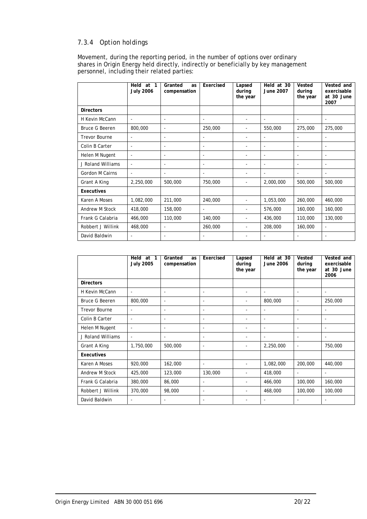### *7.3.4 Option holdings*

Movement, during the reporting period, in the number of options over ordinary shares in Origin Energy held directly, indirectly or beneficially by key management personnel, including their related parties:

|                       | Held at 1<br><b>July 2006</b> | Granted<br>as<br>compensation | Exercised                | Lapsed<br>during<br>the year | Held at 30<br>June 2007  | Vested<br>during<br>the year | Vested and<br>exercisable<br>at 30 June<br>2007 |
|-----------------------|-------------------------------|-------------------------------|--------------------------|------------------------------|--------------------------|------------------------------|-------------------------------------------------|
| <b>Directors</b>      |                               |                               |                          |                              |                          |                              |                                                 |
| H Kevin McCann        | $\blacksquare$                | $\blacksquare$                | $\blacksquare$           | $\overline{\phantom{0}}$     | $\blacksquare$           | $\overline{a}$               | $\blacksquare$                                  |
| <b>Bruce G Beeren</b> | 800,000                       | $\blacksquare$                | 250,000                  |                              | 550,000                  | 275,000                      | 275,000                                         |
| <b>Trevor Bourne</b>  | $\overline{\phantom{a}}$      | $\overline{\phantom{a}}$      | ٠                        |                              | $\overline{\phantom{a}}$ |                              |                                                 |
| Colin B Carter        | $\overline{\phantom{a}}$      | $\overline{\phantom{a}}$      | $\overline{\phantom{a}}$ |                              | $\overline{\phantom{a}}$ | $\overline{\phantom{a}}$     | $\overline{\phantom{a}}$                        |
| Helen M Nugent        | $\sim$                        | $\blacksquare$                | $\overline{\phantom{a}}$ | -                            | $\blacksquare$           | $\overline{\phantom{a}}$     | $\overline{\phantom{a}}$                        |
| J Roland Williams     | $\blacksquare$                | $\overline{\phantom{a}}$      | Ξ.                       | Ξ.                           | $\blacksquare$           | $\overline{\phantom{a}}$     | $\overline{\phantom{a}}$                        |
| Gordon M Cairns       | $\overline{\phantom{a}}$      | $\overline{\phantom{a}}$      | $\overline{\phantom{a}}$ |                              | $\overline{\phantom{a}}$ | $\overline{\phantom{a}}$     |                                                 |
| Grant A King          | 2,250,000                     | 500,000                       | 750,000                  |                              | 2,000,000                | 500,000                      | 500,000                                         |
| Executives            |                               |                               |                          |                              |                          |                              |                                                 |
| Karen A Moses         | 1,082,000                     | 211,000                       | 240,000                  |                              | 1,053,000                | 260,000                      | 460,000                                         |
| Andrew M Stock        | 418,000                       | 158,000                       | $\overline{\phantom{a}}$ |                              | 576,000                  | 160,000                      | 160,000                                         |
| Frank G Calabria      | 466,000                       | 110,000                       | 140,000                  |                              | 436,000                  | 110,000                      | 130,000                                         |
| Robbert J Willink     | 468,000                       | $\blacksquare$                | 260,000                  |                              | 208,000                  | 160,000                      | $\blacksquare$                                  |
| David Baldwin         | $\overline{a}$                | $\overline{\phantom{a}}$      | Ξ.                       |                              | $\blacksquare$           |                              |                                                 |

|                       | Held<br>at<br>1<br><b>July 2005</b> | Granted<br>as<br>compensation | Exercised                | Lapsed<br>during<br>the year | Held at 30<br><b>June 2006</b> | Vested<br>during<br>the year | Vested and<br>exercisable<br>at 30 June<br>2006 |
|-----------------------|-------------------------------------|-------------------------------|--------------------------|------------------------------|--------------------------------|------------------------------|-------------------------------------------------|
| <b>Directors</b>      |                                     |                               |                          |                              |                                |                              |                                                 |
| H Kevin McCann        | $\overline{\phantom{a}}$            | $\overline{\phantom{a}}$      | $\overline{\phantom{a}}$ |                              | $\overline{\phantom{a}}$       | $\blacksquare$               | $\blacksquare$                                  |
| <b>Bruce G Beeren</b> | 800,000                             | $\overline{\phantom{a}}$      | ٠                        |                              | 800,000                        | $\blacksquare$               | 250,000                                         |
| <b>Trevor Bourne</b>  | $\blacksquare$                      | $\overline{\phantom{a}}$      | $\overline{\phantom{a}}$ |                              | $\overline{\phantom{a}}$       | $\blacksquare$               | $\blacksquare$                                  |
| Colin B Carter        | $\blacksquare$                      | $\overline{\phantom{a}}$      | $\overline{\phantom{a}}$ |                              | $\overline{\phantom{a}}$       | $\overline{\phantom{a}}$     | $\overline{\phantom{a}}$                        |
| Helen M Nugent        | $\overline{\phantom{a}}$            | ٠                             | -                        |                              | $\overline{\phantom{a}}$       |                              |                                                 |
| J Roland Williams     | $\overline{\phantom{a}}$            | $\overline{\phantom{a}}$      | $\overline{\phantom{a}}$ |                              | $\overline{\phantom{a}}$       | $\overline{\phantom{a}}$     | $\overline{\phantom{a}}$                        |
| Grant A King          | 1,750,000                           | 500,000                       | $\overline{\phantom{a}}$ | $\overline{\phantom{a}}$     | 2,250,000                      | $\blacksquare$               | 750,000                                         |
| <b>Executives</b>     |                                     |                               |                          |                              |                                |                              |                                                 |
| Karen A Moses         | 920,000                             | 162,000                       | $\overline{\phantom{a}}$ |                              | 1,082,000                      | 200,000                      | 440,000                                         |
| Andrew M Stock        | 425,000                             | 123,000                       | 130,000                  |                              | 418,000                        | ÷                            |                                                 |
| Frank G Calabria      | 380,000                             | 86,000                        | $\overline{\phantom{a}}$ |                              | 466,000                        | 100,000                      | 160,000                                         |
| Robbert J Willink     | 370,000                             | 98,000                        | ٠                        | $\overline{\phantom{a}}$     | 468,000                        | 100,000                      | 100,000                                         |
| David Baldwin         | $\overline{\phantom{a}}$            | $\overline{\phantom{a}}$      | $\overline{\phantom{a}}$ |                              | $\qquad \qquad \blacksquare$   | ٠                            | $\overline{\phantom{a}}$                        |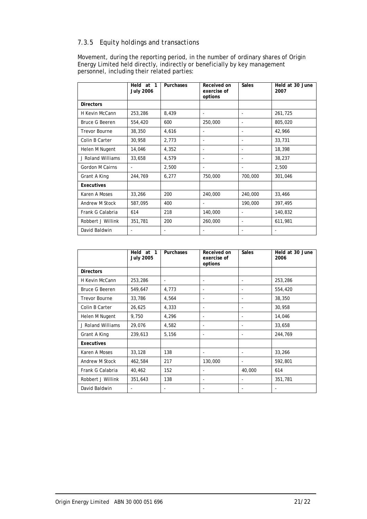### *7.3.5 Equity holdings and transactions*

Movement, during the reporting period, in the number of ordinary shares of Origin Energy Limited held directly, indirectly or beneficially by key management personnel, including their related parties:

|                       | Held at 1<br><b>July 2006</b> | Purchases | Received on<br>exercise of<br>options | <b>Sales</b>             | Held at 30 June<br>2007 |
|-----------------------|-------------------------------|-----------|---------------------------------------|--------------------------|-------------------------|
| <b>Directors</b>      |                               |           |                                       |                          |                         |
| H Kevin McCann        | 253,286                       | 8,439     | ۰                                     |                          | 261,725                 |
| <b>Bruce G Beeren</b> | 554,420                       | 600       | 250,000                               |                          | 805,020                 |
| <b>Trevor Bourne</b>  | 38,350                        | 4,616     | $\overline{\phantom{a}}$              | $\overline{\phantom{a}}$ | 42,966                  |
| Colin B Carter        | 30,958                        | 2,773     |                                       |                          | 33,731                  |
| Helen M Nugent        | 14,046                        | 4,352     |                                       |                          | 18,398                  |
| J Roland Williams     | 33,658                        | 4,579     |                                       |                          | 38,237                  |
| Gordon M Cairns       |                               | 2,500     |                                       |                          | 2,500                   |
| Grant A King          | 244,769                       | 6,277     | 750,000                               | 700,000                  | 301,046                 |
| Executives            |                               |           |                                       |                          |                         |
| Karen A Moses         | 33,266                        | 200       | 240,000                               | 240,000                  | 33,466                  |
| Andrew M Stock        | 587,095                       | 400       | $\overline{\phantom{a}}$              | 190,000                  | 397,495                 |
| Frank G Calabria      | 614                           | 218       | 140,000                               |                          | 140,832                 |
| Robbert J Willink     | 351,781                       | 200       | 260,000                               | $\overline{\phantom{a}}$ | 611,981                 |
| David Baldwin         |                               |           |                                       |                          |                         |

|                       | Held at 1<br><b>July 2005</b> | Purchases | Received on<br>exercise of<br>options | <b>Sales</b>             | Held at 30 June<br>2006 |
|-----------------------|-------------------------------|-----------|---------------------------------------|--------------------------|-------------------------|
| <b>Directors</b>      |                               |           |                                       |                          |                         |
| H Kevin McCann        | 253,286                       |           |                                       |                          | 253,286                 |
| <b>Bruce G Beeren</b> | 549,647                       | 4,773     |                                       |                          | 554,420                 |
| <b>Trevor Bourne</b>  | 33,786                        | 4,564     |                                       |                          | 38,350                  |
| Colin B Carter        | 26,625                        | 4,333     |                                       |                          | 30,958                  |
| Helen M Nugent        | 9,750                         | 4,296     | ٠                                     |                          | 14,046                  |
| J Roland Williams     | 29,076                        | 4,582     |                                       |                          | 33,658                  |
| Grant A King          | 239,613                       | 5,156     | ۰                                     |                          | 244,769                 |
| Executives            |                               |           |                                       |                          |                         |
| Karen A Moses         | 33,128                        | 138       |                                       |                          | 33,266                  |
| Andrew M Stock        | 462,584                       | 217       | 130,000                               | $\overline{\phantom{a}}$ | 592,801                 |
| Frank G Calabria      | 40,462                        | 152       |                                       | 40,000                   | 614                     |
| Robbert J Willink     | 351,643                       | 138       | ٠                                     |                          | 351,781                 |
| David Baldwin         |                               |           |                                       |                          |                         |